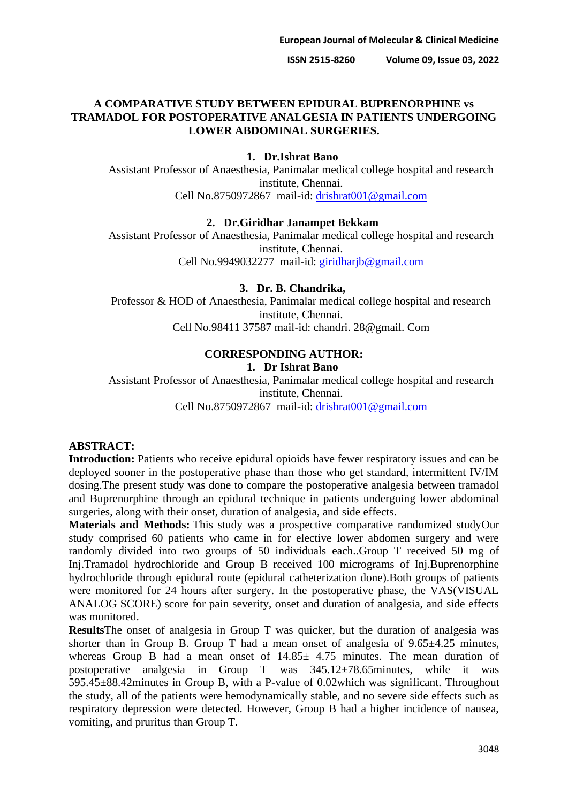# **A COMPARATIVE STUDY BETWEEN EPIDURAL BUPRENORPHINE vs TRAMADOL FOR POSTOPERATIVE ANALGESIA IN PATIENTS UNDERGOING LOWER ABDOMINAL SURGERIES.**

#### **1. Dr.Ishrat Bano**

Assistant Professor of Anaesthesia, Panimalar medical college hospital and research institute, Chennai. Cell No.8750972867 mail-id: [drishrat001@gmail.com](mailto:drishrat001@gmail.com)

### **2. Dr.Giridhar Janampet Bekkam**

Assistant Professor of Anaesthesia, Panimalar medical college hospital and research institute, Chennai. Cell No.9949032277 mail-id: [giridharjb@gmail.com](mailto:giridharjb@gmail.com)

#### **3. Dr. B. Chandrika,**

Professor & HOD of Anaesthesia, Panimalar medical college hospital and research institute, Chennai. Cell No.98411 37587 mail-id: chandri. 28@gmail. Com

#### **CORRESPONDING AUTHOR: 1. Dr Ishrat Bano**

Assistant Professor of Anaesthesia, Panimalar medical college hospital and research institute, Chennai.

Cell No.8750972867 mail-id: [drishrat001@gmail.com](mailto:drishrat001@gmail.com)

### **ABSTRACT:**

**Introduction:** Patients who receive epidural opioids have fewer respiratory issues and can be deployed sooner in the postoperative phase than those who get standard, intermittent IV/IM dosing.The present study was done to compare the postoperative analgesia between tramadol and Buprenorphine through an epidural technique in patients undergoing lower abdominal surgeries, along with their onset, duration of analgesia, and side effects.

**Materials and Methods:** This study was a prospective comparative randomized studyOur study comprised 60 patients who came in for elective lower abdomen surgery and were randomly divided into two groups of 50 individuals each..Group T received 50 mg of Inj.Tramadol hydrochloride and Group B received 100 micrograms of Inj.Buprenorphine hydrochloride through epidural route (epidural catheterization done).Both groups of patients were monitored for 24 hours after surgery. In the postoperative phase, the VAS(VISUAL ANALOG SCORE) score for pain severity, onset and duration of analgesia, and side effects was monitored.

**Results**The onset of analgesia in Group T was quicker, but the duration of analgesia was shorter than in Group B. Group T had a mean onset of analgesia of  $9.65\pm4.25$  minutes, whereas Group B had a mean onset of  $14.85 \pm 4.75$  minutes. The mean duration of postoperative analgesia in Group T was 345.12±78.65minutes, while it was 595.45±88.42minutes in Group B, with a P-value of 0.02which was significant. Throughout the study, all of the patients were hemodynamically stable, and no severe side effects such as respiratory depression were detected. However, Group B had a higher incidence of nausea, vomiting, and pruritus than Group T.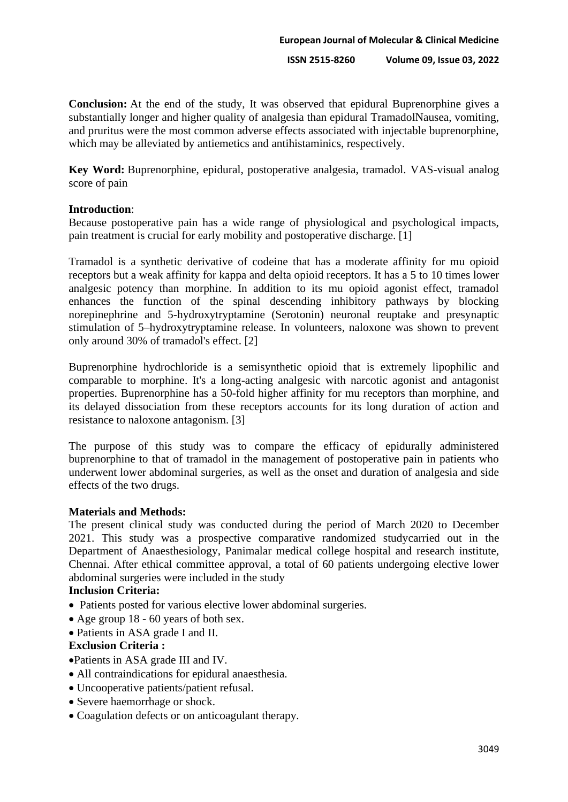**Conclusion:** At the end of the study, It was observed that epidural Buprenorphine gives a substantially longer and higher quality of analgesia than epidural TramadolNausea, vomiting, and pruritus were the most common adverse effects associated with injectable buprenorphine, which may be alleviated by antiemetics and antihistaminics, respectively.

**Key Word:** Buprenorphine, epidural, postoperative analgesia, tramadol. VAS-visual analog score of pain

### **Introduction**:

Because postoperative pain has a wide range of physiological and psychological impacts, pain treatment is crucial for early mobility and postoperative discharge. [1]

Tramadol is a synthetic derivative of codeine that has a moderate affinity for mu opioid receptors but a weak affinity for kappa and delta opioid receptors. It has a 5 to 10 times lower analgesic potency than morphine. In addition to its mu opioid agonist effect, tramadol enhances the function of the spinal descending inhibitory pathways by blocking norepinephrine and 5-hydroxytryptamine (Serotonin) neuronal reuptake and presynaptic stimulation of 5–hydroxytryptamine release. In volunteers, naloxone was shown to prevent only around 30% of tramadol's effect. [2]

Buprenorphine hydrochloride is a semisynthetic opioid that is extremely lipophilic and comparable to morphine. It's a long-acting analgesic with narcotic agonist and antagonist properties. Buprenorphine has a 50-fold higher affinity for mu receptors than morphine, and its delayed dissociation from these receptors accounts for its long duration of action and resistance to naloxone antagonism. [3]

The purpose of this study was to compare the efficacy of epidurally administered buprenorphine to that of tramadol in the management of postoperative pain in patients who underwent lower abdominal surgeries, as well as the onset and duration of analgesia and side effects of the two drugs.

## **Materials and Methods:**

The present clinical study was conducted during the period of March 2020 to December 2021. This study was a prospective comparative randomized studycarried out in the Department of Anaesthesiology, Panimalar medical college hospital and research institute, Chennai. After ethical committee approval, a total of 60 patients undergoing elective lower abdominal surgeries were included in the study

## **Inclusion Criteria:**

- Patients posted for various elective lower abdominal surgeries.
- Age group 18 60 years of both sex.
- Patients in ASA grade I and II.

#### **Exclusion Criteria :**

•Patients in ASA grade III and IV.

- All contraindications for epidural anaesthesia.
- Uncooperative patients/patient refusal.
- Severe haemorrhage or shock.
- Coagulation defects or on anticoagulant therapy.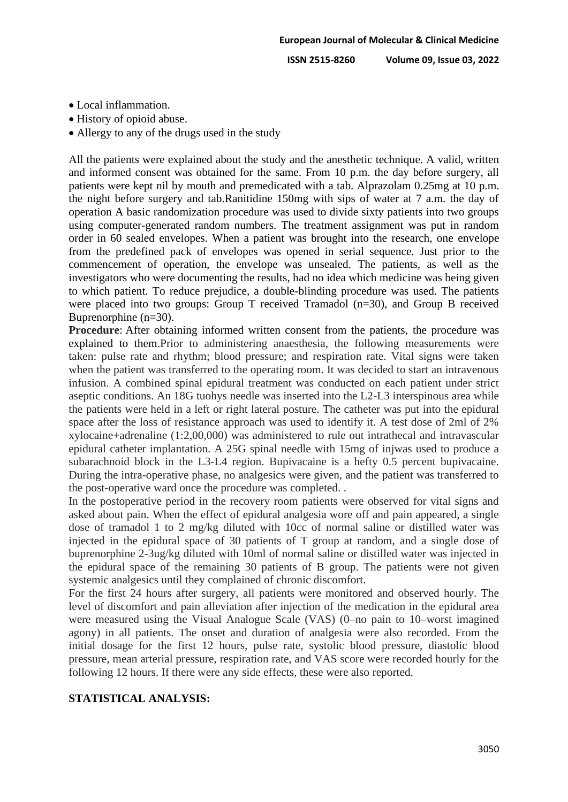- Local inflammation.
- History of opioid abuse.
- Allergy to any of the drugs used in the study

All the patients were explained about the study and the anesthetic technique. A valid, written and informed consent was obtained for the same. From 10 p.m. the day before surgery, all patients were kept nil by mouth and premedicated with a tab. Alprazolam 0.25mg at 10 p.m. the night before surgery and tab.Ranitidine 150mg with sips of water at 7 a.m. the day of operation A basic randomization procedure was used to divide sixty patients into two groups using computer-generated random numbers. The treatment assignment was put in random order in 60 sealed envelopes. When a patient was brought into the research, one envelope from the predefined pack of envelopes was opened in serial sequence. Just prior to the commencement of operation, the envelope was unsealed. The patients, as well as the investigators who were documenting the results, had no idea which medicine was being given to which patient. To reduce prejudice, a double-blinding procedure was used. The patients were placed into two groups: Group T received Tramadol (n=30), and Group B received Buprenorphine (n=30).

**Procedure**: After obtaining informed written consent from the patients, the procedure was explained to them.Prior to administering anaesthesia, the following measurements were taken: pulse rate and rhythm; blood pressure; and respiration rate. Vital signs were taken when the patient was transferred to the operating room. It was decided to start an intravenous infusion. A combined spinal epidural treatment was conducted on each patient under strict aseptic conditions. An 18G tuohys needle was inserted into the L2-L3 interspinous area while the patients were held in a left or right lateral posture. The catheter was put into the epidural space after the loss of resistance approach was used to identify it. A test dose of 2ml of 2% xylocaine+adrenaline (1:2,00,000) was administered to rule out intrathecal and intravascular epidural catheter implantation. A 25G spinal needle with 15mg of injwas used to produce a subarachnoid block in the L3-L4 region. Bupivacaine is a hefty 0.5 percent bupivacaine. During the intra-operative phase, no analgesics were given, and the patient was transferred to the post-operative ward once the procedure was completed. .

In the postoperative period in the recovery room patients were observed for vital signs and asked about pain. When the effect of epidural analgesia wore off and pain appeared, a single dose of tramadol 1 to 2 mg/kg diluted with 10cc of normal saline or distilled water was injected in the epidural space of 30 patients of T group at random, and a single dose of buprenorphine 2-3ug/kg diluted with 10ml of normal saline or distilled water was injected in the epidural space of the remaining 30 patients of B group. The patients were not given systemic analgesics until they complained of chronic discomfort.

For the first 24 hours after surgery, all patients were monitored and observed hourly. The level of discomfort and pain alleviation after injection of the medication in the epidural area were measured using the Visual Analogue Scale (VAS) (0–no pain to 10–worst imagined agony) in all patients. The onset and duration of analgesia were also recorded. From the initial dosage for the first 12 hours, pulse rate, systolic blood pressure, diastolic blood pressure, mean arterial pressure, respiration rate, and VAS score were recorded hourly for the following 12 hours. If there were any side effects, these were also reported.

# **STATISTICAL ANALYSIS:**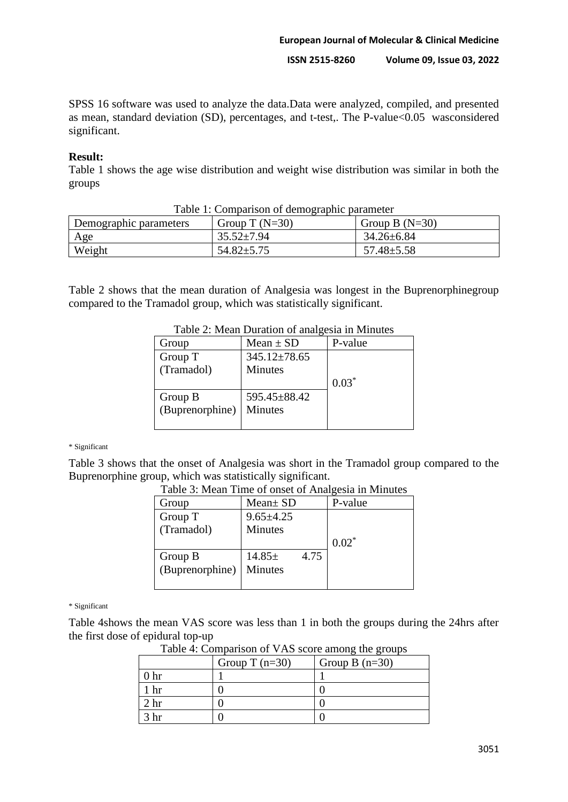SPSS 16 software was used to analyze the data.Data were analyzed, compiled, and presented as mean, standard deviation (SD), percentages, and t-test,. The P-value<0.05 wasconsidered significant.

## **Result:**

Table 1 shows the age wise distribution and weight wise distribution was similar in both the groups

| Demographic parameters | Group T $(N=30)$ | Group B $(N=30)$ |
|------------------------|------------------|------------------|
| Age                    | $35.52 \pm 7.94$ | $34.26 \pm 6.84$ |
| Weight                 | $54.82 \pm 5.75$ | $57.48 \pm 5.58$ |

# Table 1: Comparison of demographic parameter

Table 2 shows that the mean duration of Analgesia was longest in the Buprenorphinegroup compared to the Tramadol group, which was statistically significant.

| 1400            |                    |         |
|-----------------|--------------------|---------|
| Group           | Mean $\pm$ SD      | P-value |
| Group T         | $345.12 \pm 78.65$ |         |
| (Tramadol)      | Minutes            |         |
|                 |                    | $0.03*$ |
| Group B         | 595.45±88.42       |         |
| (Buprenorphine) | Minutes            |         |
|                 |                    |         |

Table 2: Mean Duration of analgesia in Minutes

\* Significant

Table 3 shows that the onset of Analgesia was short in the Tramadol group compared to the Buprenorphine group, which was statistically significant.

| Group           | $Mean \pm SD$   |      | P-value  |
|-----------------|-----------------|------|----------|
| Group T         | $9.65 \pm 4.25$ |      |          |
| (Tramadol)      | Minutes         |      |          |
|                 |                 |      | $0.02^*$ |
| Group B         | $14.85 \pm$     | 4.75 |          |
| (Buprenorphine) | <b>Minutes</b>  |      |          |
|                 |                 |      |          |

Table 3: Mean Time of onset of Analgesia in Minutes

\* Significant

Table 4shows the mean VAS score was less than 1 in both the groups during the 24hrs after the first dose of epidural top-up

| Lable 4. Comparison of v AS score among the groups |                  |                  |
|----------------------------------------------------|------------------|------------------|
|                                                    | Group T $(n=30)$ | Group B $(n=30)$ |
| ) hr                                               |                  |                  |
| hr                                                 |                  |                  |
| $2 \; \mathrm{hr}$                                 |                  |                  |
| hr.                                                |                  |                  |

Table  $\overline{A}$ : Comparison of V $\overline{A}S$  score among the groups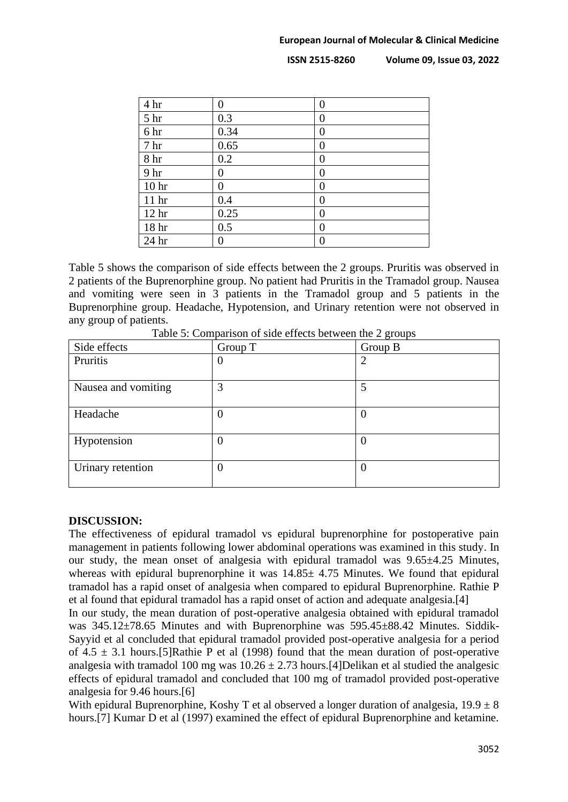| 4 hr             | $\boldsymbol{0}$ | $\overline{0}$   |
|------------------|------------------|------------------|
| 5 <sup>hr</sup>  | 0.3              | $\overline{0}$   |
| 6 hr             | 0.34             | $\overline{0}$   |
| 7 <sub>hr</sub>  | 0.65             | $\boldsymbol{0}$ |
| 8 <sup>h</sup> r | 0.2              | $\overline{0}$   |
| 9 hr             | 0                | $\overline{0}$   |
| 10 <sub>hr</sub> | 0                | $\overline{0}$   |
| 11 <sup>hr</sup> | 0.4              | $\overline{0}$   |
| 12 <sub>hr</sub> | 0.25             | $\overline{0}$   |
| 18 hr            | 0.5              | $\overline{0}$   |
| 24 hr            | 0                | 0                |

Table 5 shows the comparison of side effects between the 2 groups. Pruritis was observed in 2 patients of the Buprenorphine group. No patient had Pruritis in the Tramadol group. Nausea and vomiting were seen in 3 patients in the Tramadol group and 5 patients in the Buprenorphine group. Headache, Hypotension, and Urinary retention were not observed in any group of patients.

| Side effects        | Group T  | Group B                     |
|---------------------|----------|-----------------------------|
| Pruritis            | O        | $\mathcal{D}_{\mathcal{L}}$ |
|                     |          |                             |
| Nausea and vomiting | 3        |                             |
| Headache            | $\theta$ | $\theta$                    |
| Hypotension         | $\theta$ | $\left( \right)$            |
| Urinary retention   | $\theta$ | $\theta$                    |

Table 5: Comparison of side effects between the 2 groups

# **DISCUSSION:**

The effectiveness of epidural tramadol vs epidural buprenorphine for postoperative pain management in patients following lower abdominal operations was examined in this study. In our study, the mean onset of analgesia with epidural tramadol was 9.65±4.25 Minutes, whereas with epidural buprenorphine it was  $14.85 \pm 4.75$  Minutes. We found that epidural tramadol has a rapid onset of analgesia when compared to epidural Buprenorphine. Rathie P et al found that epidural tramadol has a rapid onset of action and adequate analgesia.[4]

In our study, the mean duration of post-operative analgesia obtained with epidural tramadol was  $345.12\pm78.65$  Minutes and with Buprenorphine was  $595.45\pm88.42$  Minutes. Siddik-Sayyid et al concluded that epidural tramadol provided post-operative analgesia for a period of  $4.5 \pm 3.1$  hours. [5] Rathie P et al (1998) found that the mean duration of post-operative analgesia with tramadol 100 mg was  $10.26 \pm 2.73$  hours. [4] Delikan et al studied the analgesic effects of epidural tramadol and concluded that 100 mg of tramadol provided post-operative analgesia for 9.46 hours.[6]

With epidural Buprenorphine, Koshy T et al observed a longer duration of analgesia,  $19.9 \pm 8$ hours.[7] Kumar D et al (1997) examined the effect of epidural Buprenorphine and ketamine.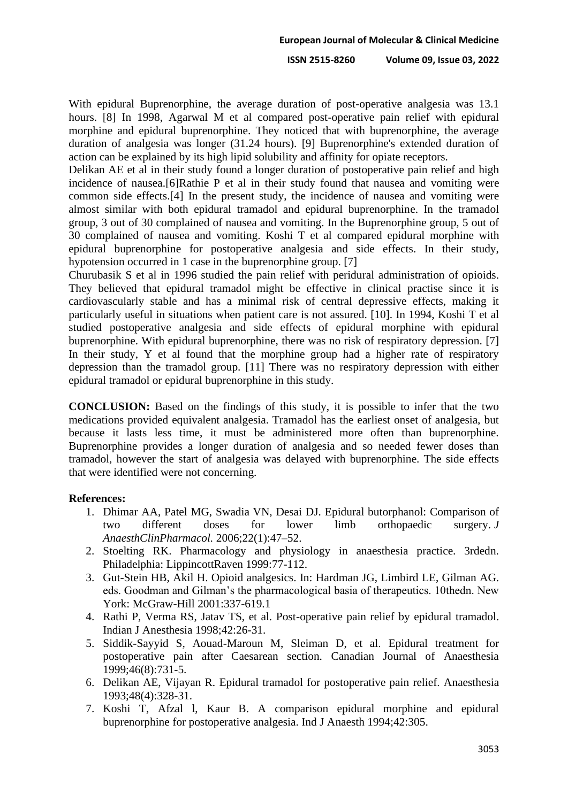With epidural Buprenorphine, the average duration of post-operative analgesia was 13.1 hours. [8] In 1998, Agarwal M et al compared post-operative pain relief with epidural morphine and epidural buprenorphine. They noticed that with buprenorphine, the average duration of analgesia was longer (31.24 hours). [9] Buprenorphine's extended duration of action can be explained by its high lipid solubility and affinity for opiate receptors.

Delikan AE et al in their study found a longer duration of postoperative pain relief and high incidence of nausea.[6]Rathie P et al in their study found that nausea and vomiting were common side effects.[4] In the present study, the incidence of nausea and vomiting were almost similar with both epidural tramadol and epidural buprenorphine. In the tramadol group, 3 out of 30 complained of nausea and vomiting. In the Buprenorphine group, 5 out of 30 complained of nausea and vomiting. Koshi T et al compared epidural morphine with epidural buprenorphine for postoperative analgesia and side effects. In their study, hypotension occurred in 1 case in the buprenorphine group. [7]

Churubasik S et al in 1996 studied the pain relief with peridural administration of opioids. They believed that epidural tramadol might be effective in clinical practise since it is cardiovascularly stable and has a minimal risk of central depressive effects, making it particularly useful in situations when patient care is not assured. [10]. In 1994, Koshi T et al studied postoperative analgesia and side effects of epidural morphine with epidural buprenorphine. With epidural buprenorphine, there was no risk of respiratory depression. [7] In their study, Y et al found that the morphine group had a higher rate of respiratory depression than the tramadol group. [11] There was no respiratory depression with either epidural tramadol or epidural buprenorphine in this study.

**CONCLUSION:** Based on the findings of this study, it is possible to infer that the two medications provided equivalent analgesia. Tramadol has the earliest onset of analgesia, but because it lasts less time, it must be administered more often than buprenorphine. Buprenorphine provides a longer duration of analgesia and so needed fewer doses than tramadol, however the start of analgesia was delayed with buprenorphine. The side effects that were identified were not concerning.

### **References:**

- 1. Dhimar AA, Patel MG, Swadia VN, Desai DJ. Epidural butorphanol: Comparison of two different doses for lower limb orthopaedic surgery. *J AnaesthClinPharmacol.* 2006;22(1):47–52.
- 2. Stoelting RK. Pharmacology and physiology in anaesthesia practice. 3rdedn. Philadelphia: LippincottRaven 1999:77-112.
- 3. Gut-Stein HB, Akil H. Opioid analgesics. In: Hardman JG, Limbird LE, Gilman AG. eds. Goodman and Gilman's the pharmacological basia of therapeutics. 10thedn. New York: McGraw-Hill 2001:337-619.1
- 4. Rathi P, Verma RS, Jatav TS, et al. Post-operative pain relief by epidural tramadol. Indian J Anesthesia 1998;42:26-31.
- 5. Siddik-Sayyid S, Aouad-Maroun M, Sleiman D, et al. Epidural treatment for postoperative pain after Caesarean section. Canadian Journal of Anaesthesia 1999;46(8):731-5.
- 6. Delikan AE, Vijayan R. Epidural tramadol for postoperative pain relief. Anaesthesia 1993;48(4):328-31.
- 7. Koshi T, Afzal l, Kaur B. A comparison epidural morphine and epidural buprenorphine for postoperative analgesia. Ind J Anaesth 1994;42:305.